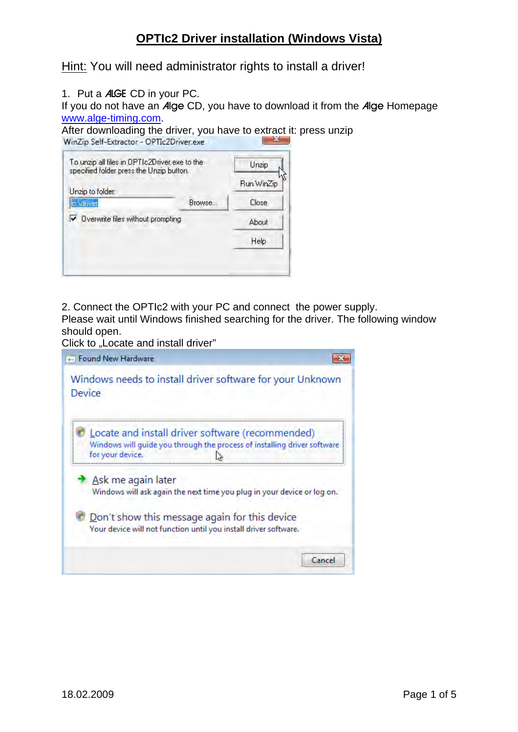# **OPTIc2 Driver installation (Windows Vista)**

Hint: You will need administrator rights to install a driver!

1. Put a ALGE CD in your PC.

If you do not have an Alge CD, you have to download it from the Alge Homepage [www.alge-timing.com.](http://www.alge-timing.com/)

After downloading the driver, you have to extract it: press unzip<br>WinZip Self-Extractor - OPTIc2Driver.exe

| To unzip all files in DPTIc2Driver.exe to the<br>specified folder press the Unzip button. |        | Unzip      |
|-------------------------------------------------------------------------------------------|--------|------------|
| Unzip to folder:                                                                          |        | Run WinZip |
| c:\diiver                                                                                 | Browse | Close      |
| ▼ Dverwrite files without prompting                                                       |        | About      |
|                                                                                           |        | Help       |

2. Connect the OPTIc2 with your PC and connect the power supply.

Please wait until Windows finished searching for the driver. The following window should open.

Click to "Locate and install driver"

| + Found New Hardware                                                                                                                             |       |
|--------------------------------------------------------------------------------------------------------------------------------------------------|-------|
| Windows needs to install driver software for your Unknown<br>Device                                                                              |       |
| Locate and install driver software (recommended)<br>Windows will quide you through the process of installing driver software<br>for your device. |       |
| Ask me again later<br>Windows will ask again the next time you plug in your device or log on.                                                    |       |
| Don't show this message again for this device<br>Your device will not function until you install driver software.                                |       |
|                                                                                                                                                  | Cance |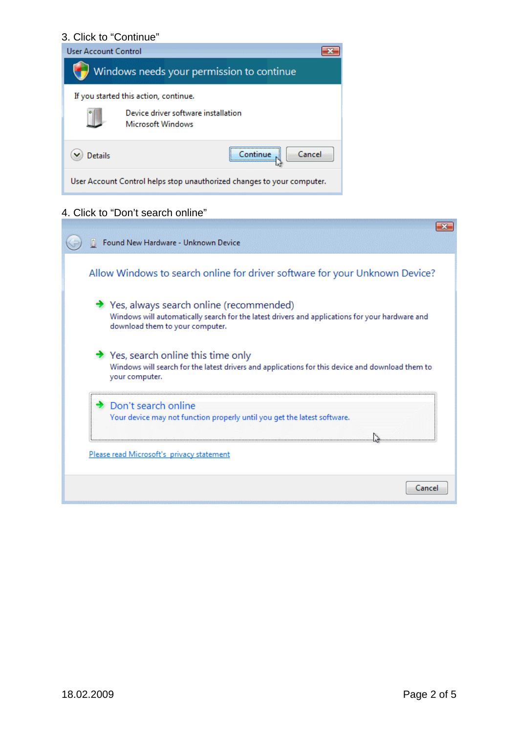#### 3. Click to "Continue"



#### 4. Click to "Don't search online"

| Found New Hardware - Unknown Device                                                                                                                                                         |
|---------------------------------------------------------------------------------------------------------------------------------------------------------------------------------------------|
| Allow Windows to search online for driver software for your Unknown Device?                                                                                                                 |
| $\rightarrow$ Yes, always search online (recommended)<br>Windows will automatically search for the latest drivers and applications for your hardware and<br>download them to your computer. |
| $\rightarrow$ Yes, search online this time only<br>Windows will search for the latest drivers and applications for this device and download them to<br>your computer.                       |
| Don't search online<br>Your device may not function properly until you get the latest software.<br>Please read Microsoft's privacy statement                                                |
| Cancel                                                                                                                                                                                      |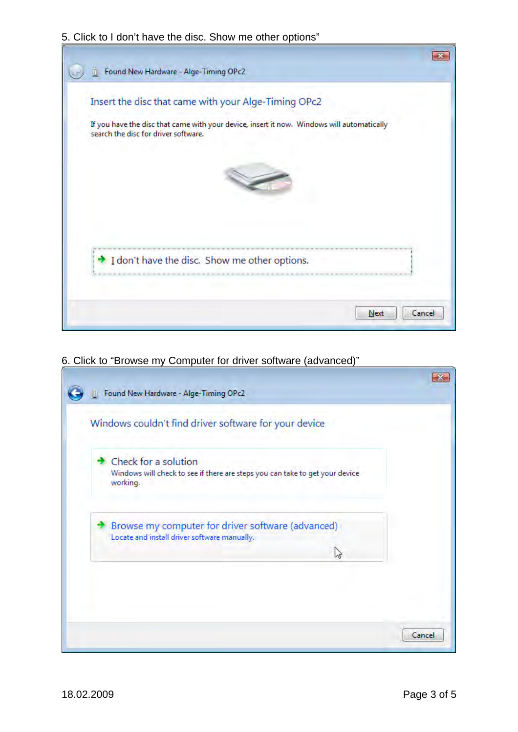### 5. Click to I don't have the disc. Show me other options"

| Insert the disc that came with your Alge-Timing OPc2 |  |                                                                                            |  |
|------------------------------------------------------|--|--------------------------------------------------------------------------------------------|--|
| search the disc for driver software.                 |  | If you have the disc that came with your device, insert it now. Windows will automatically |  |
|                                                      |  |                                                                                            |  |
|                                                      |  |                                                                                            |  |
| I don't have the disc. Show me other options.        |  |                                                                                            |  |
|                                                      |  |                                                                                            |  |

## 6. Click to "Browse my Computer for driver software (advanced)"

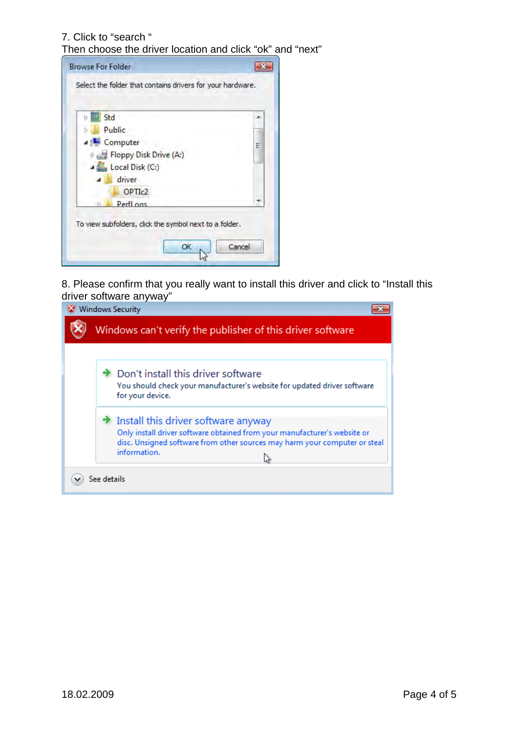7. Click to "search "

Then choose the driver location and click "ok" and "next"

| Std                                                   | × |
|-------------------------------------------------------|---|
| <b>Public</b>                                         |   |
| <b>A MAL</b> Computer                                 | Ξ |
| Floppy Disk Drive (A:)                                |   |
| Local Disk (C:)                                       |   |
| driver                                                |   |
| OPTI <sub>c2</sub>                                    |   |
| Perfl ogs                                             |   |
|                                                       |   |
| To view subfolders, dick the symbol next to a folder. |   |

8. Please confirm that you really want to install this driver and click to "Install this driver software anyway"

| Don't install this driver software<br>You should check your manufacturer's website for updated driver software<br>for your device.                                                                                   |
|----------------------------------------------------------------------------------------------------------------------------------------------------------------------------------------------------------------------|
| Install this driver software anyway<br>Only install driver software obtained from your manufacturer's website or<br>disc. Unsigned software from other sources may harm your computer or steal<br>information.<br>Z, |
| See details                                                                                                                                                                                                          |